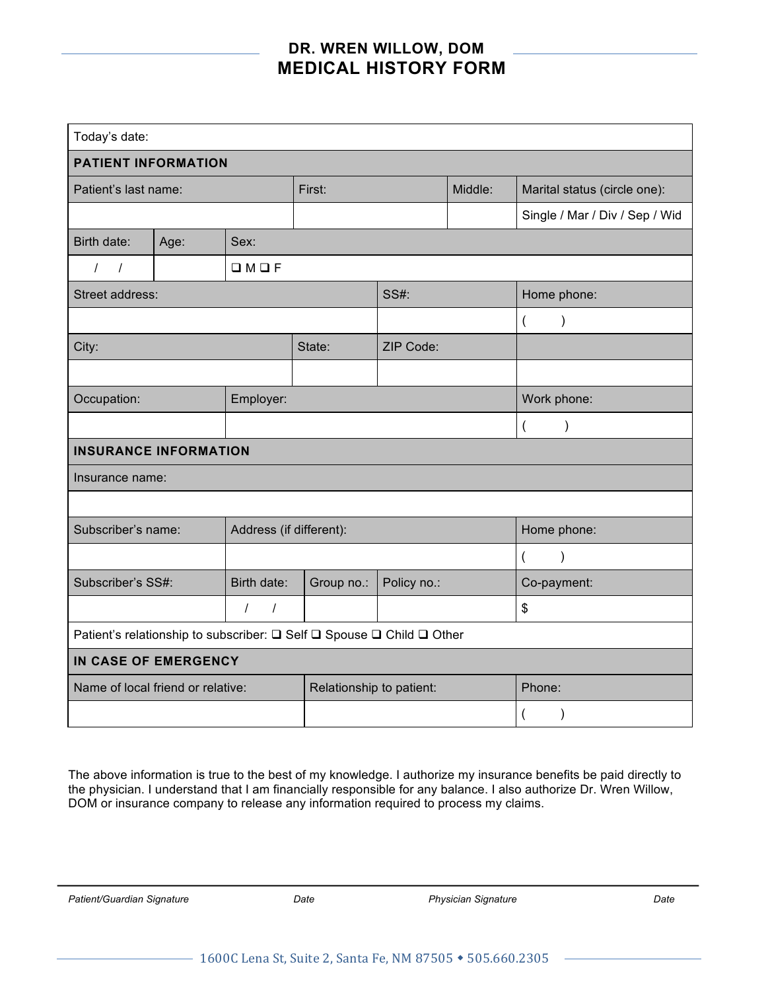| Today's date:                                                         |      |                         |                          |             |         |                                          |  |  |
|-----------------------------------------------------------------------|------|-------------------------|--------------------------|-------------|---------|------------------------------------------|--|--|
| PATIENT INFORMATION                                                   |      |                         |                          |             |         |                                          |  |  |
| Patient's last name:                                                  |      |                         | First:                   |             | Middle: | Marital status (circle one):             |  |  |
|                                                                       |      |                         |                          |             |         | Single / Mar / Div / Sep / Wid           |  |  |
| Birth date:                                                           | Age: | Sex:                    |                          |             |         |                                          |  |  |
| $\overline{1}$<br>$\sqrt{ }$                                          |      | $\Box M \Box F$         |                          |             |         |                                          |  |  |
| Street address:                                                       |      |                         |                          | <b>SS#:</b> |         | Home phone:                              |  |  |
|                                                                       |      |                         |                          |             |         | $\overline{(}$<br>$\mathcal{E}$          |  |  |
| City:                                                                 |      |                         | State:                   | ZIP Code:   |         |                                          |  |  |
|                                                                       |      |                         |                          |             |         |                                          |  |  |
| Occupation:                                                           |      | Employer:               |                          |             |         | Work phone:                              |  |  |
|                                                                       |      |                         |                          |             |         | $\mathcal{E}$<br>$\overline{(}$          |  |  |
| <b>INSURANCE INFORMATION</b>                                          |      |                         |                          |             |         |                                          |  |  |
| Insurance name:                                                       |      |                         |                          |             |         |                                          |  |  |
|                                                                       |      |                         |                          |             |         |                                          |  |  |
| Subscriber's name:                                                    |      | Address (if different): |                          |             |         | Home phone:                              |  |  |
|                                                                       |      |                         |                          |             |         | $\mathcal{C}^{\prime}$<br>$\overline{(}$ |  |  |
| Subscriber's SS#:                                                     |      | Birth date:             | Group no.:               | Policy no.: |         | Co-payment:                              |  |  |
|                                                                       |      | $1 \quad 1$             |                          |             |         | \$                                       |  |  |
| Patient's relationship to subscriber: Q Self Q Spouse Q Child Q Other |      |                         |                          |             |         |                                          |  |  |
| IN CASE OF EMERGENCY                                                  |      |                         |                          |             |         |                                          |  |  |
| Name of local friend or relative:                                     |      |                         | Relationship to patient: |             | Phone:  |                                          |  |  |
|                                                                       |      |                         |                          |             |         | $\overline{(}$<br>$\lambda$              |  |  |

The above information is true to the best of my knowledge. I authorize my insurance benefits be paid directly to the physician. I understand that I am financially responsible for any balance. I also authorize Dr. Wren Willow, DOM or insurance company to release any information required to process my claims.

*Patient/Guardian Signature Date Physician Signature Date*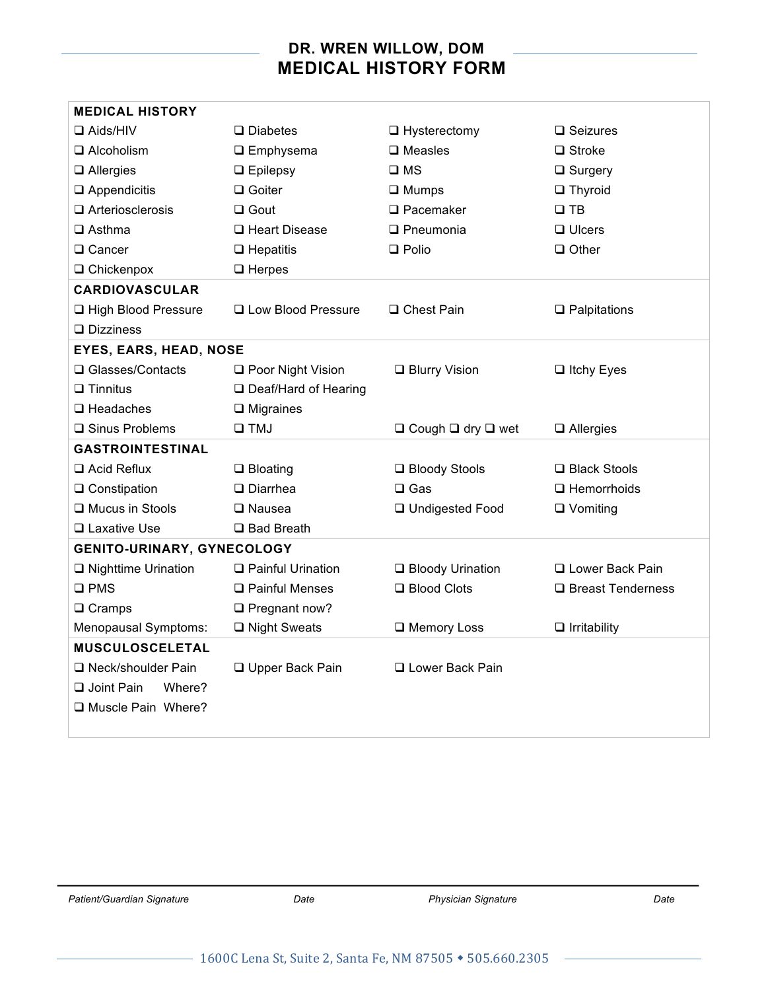| <b>MEDICAL HISTORY</b>     |                             |                                    |                     |  |  |  |  |  |
|----------------------------|-----------------------------|------------------------------------|---------------------|--|--|--|--|--|
| $\Box$ Aids/HIV            | $\Box$ Diabetes             | $\Box$ Hysterectomy                | $\square$ Seizures  |  |  |  |  |  |
| $\Box$ Alcoholism          | $\square$ Emphysema         | $\square$ Measles                  | $\Box$ Stroke       |  |  |  |  |  |
| $\Box$ Allergies           | $\Box$ Epilepsy             | $\square$ MS                       | $\square$ Surgery   |  |  |  |  |  |
| $\Box$ Appendicitis        | □ Goiter                    | $\square$ Mumps                    | $\Box$ Thyroid      |  |  |  |  |  |
| $\Box$ Arteriosclerosis    | $\Box$ Gout                 | $\square$ Pacemaker                | $\square$ TB        |  |  |  |  |  |
| $\Box$ Asthma              | □ Heart Disease             | $\Box$ Pneumonia                   | $\Box$ Ulcers       |  |  |  |  |  |
| □ Cancer                   | $\Box$ Hepatitis            | $\Box$ Polio                       | $\Box$ Other        |  |  |  |  |  |
| $\Box$ Chickenpox          | $\Box$ Herpes               |                                    |                     |  |  |  |  |  |
| <b>CARDIOVASCULAR</b>      |                             |                                    |                     |  |  |  |  |  |
| □ High Blood Pressure      | <b>Q</b> Low Blood Pressure | □ Chest Pain                       | $\Box$ Palpitations |  |  |  |  |  |
| $\square$ Dizziness        |                             |                                    |                     |  |  |  |  |  |
| EYES, EARS, HEAD, NOSE     |                             |                                    |                     |  |  |  |  |  |
| □ Glasses/Contacts         | □ Poor Night Vision         | $\Box$ Blurry Vision               | $\Box$ Itchy Eyes   |  |  |  |  |  |
| $\Box$ Tinnitus            | □ Deaf/Hard of Hearing      |                                    |                     |  |  |  |  |  |
| $\Box$ Headaches           | $\Box$ Migraines            |                                    |                     |  |  |  |  |  |
| $\square$ Sinus Problems   | $\square$ TMJ               | $\Box$ Cough $\Box$ dry $\Box$ wet | $\Box$ Allergies    |  |  |  |  |  |
| <b>GASTROINTESTINAL</b>    |                             |                                    |                     |  |  |  |  |  |
| $\Box$ Acid Reflux         | $\square$ Bloating          | □ Bloody Stools                    | □ Black Stools      |  |  |  |  |  |
| $\Box$ Constipation        | $\Box$ Diarrhea             | $\Box$ Gas                         | $\Box$ Hemorrhoids  |  |  |  |  |  |
| □ Mucus in Stools          | □ Nausea                    | □ Undigested Food                  | $\Box$ Vomiting     |  |  |  |  |  |
| □ Laxative Use             | □ Bad Breath                |                                    |                     |  |  |  |  |  |
| GENITO-URINARY, GYNECOLOGY |                             |                                    |                     |  |  |  |  |  |
| □ Nighttime Urination      | □ Painful Urination         | □ Bloody Urination                 | □ Lower Back Pain   |  |  |  |  |  |
| $\square$ PMS              | □ Painful Menses            | □ Blood Clots                      | □ Breast Tenderness |  |  |  |  |  |
| $\Box$ Cramps              | $\Box$ Pregnant now?        |                                    |                     |  |  |  |  |  |
| Menopausal Symptoms:       | □ Night Sweats              | □ Memory Loss                      | $\Box$ Irritability |  |  |  |  |  |
| MUSCULOSCELETAL            |                             |                                    |                     |  |  |  |  |  |
| □ Neck/shoulder Pain       | □ Upper Back Pain           | □ Lower Back Pain                  |                     |  |  |  |  |  |
| Where?<br>□ Joint Pain     |                             |                                    |                     |  |  |  |  |  |
| Muscle Pain Where?         |                             |                                    |                     |  |  |  |  |  |
|                            |                             |                                    |                     |  |  |  |  |  |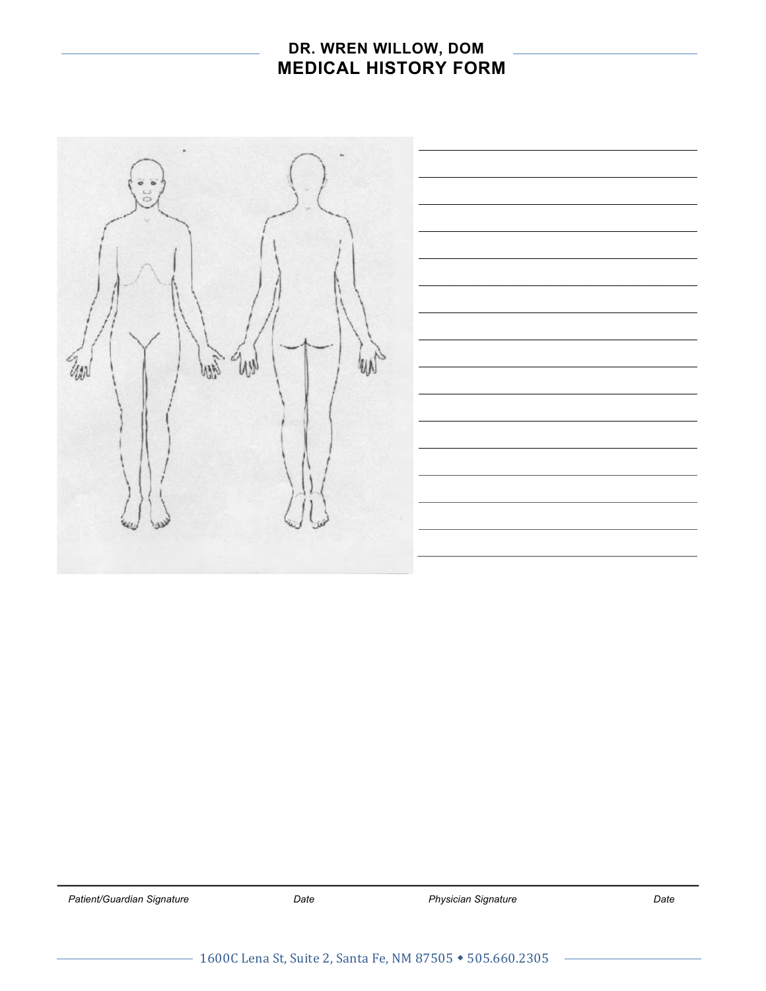

*Patient/Guardian Signature Date Physician Signature Date*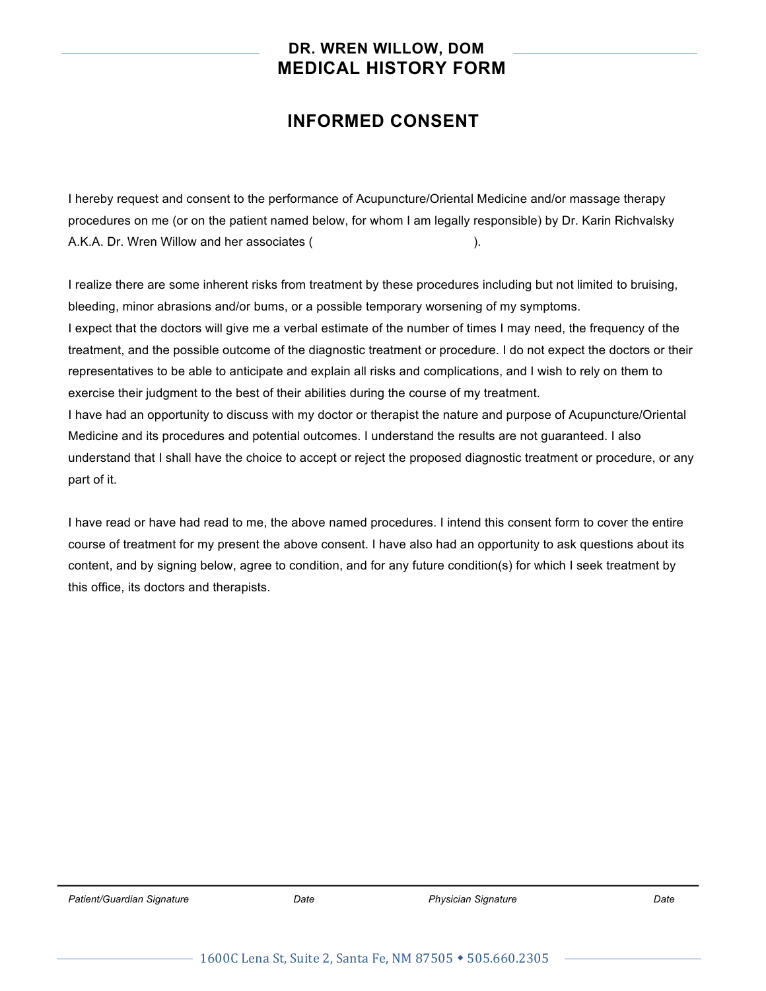## **INFORMED CONSENT**

I hereby request and consent to the performance of Acupuncture/Oriental Medicine and/or massage therapy procedures on me (or on the patient named below, for whom I am legally responsible) by Dr. Karin Richvalsky A.K.A. Dr. Wren Willow and her associates ( ).

I realize there are some inherent risks from treatment by these procedures including but not limited to bruising, bleeding, minor abrasions and/or bums, or a possible temporary worsening of my symptoms. I expect that the doctors will give me a verbal estimate of the number of times I may need, the frequency of the treatment, and the possible outcome of the diagnostic treatment or procedure. I do not expect the doctors or their representatives to be able to anticipate and explain all risks and complications, and I wish to rely on them to exercise their judgment to the best of their abilities during the course of my treatment. I have had an opportunity to discuss with my doctor or therapist the nature and purpose of Acupuncture/Oriental

Medicine and its procedures and potential outcomes. I understand the results are not guaranteed. I also understand that I shall have the choice to accept or reject the proposed diagnostic treatment or procedure, or any part of it.

I have read or have had read to me, the above named procedures. I intend this consent form to cover the entire course of treatment for my present the above consent. I have also had an opportunity to ask questions about its content, and by signing below, agree to condition, and for any future condition(s) for which I seek treatment by this office, its doctors and therapists.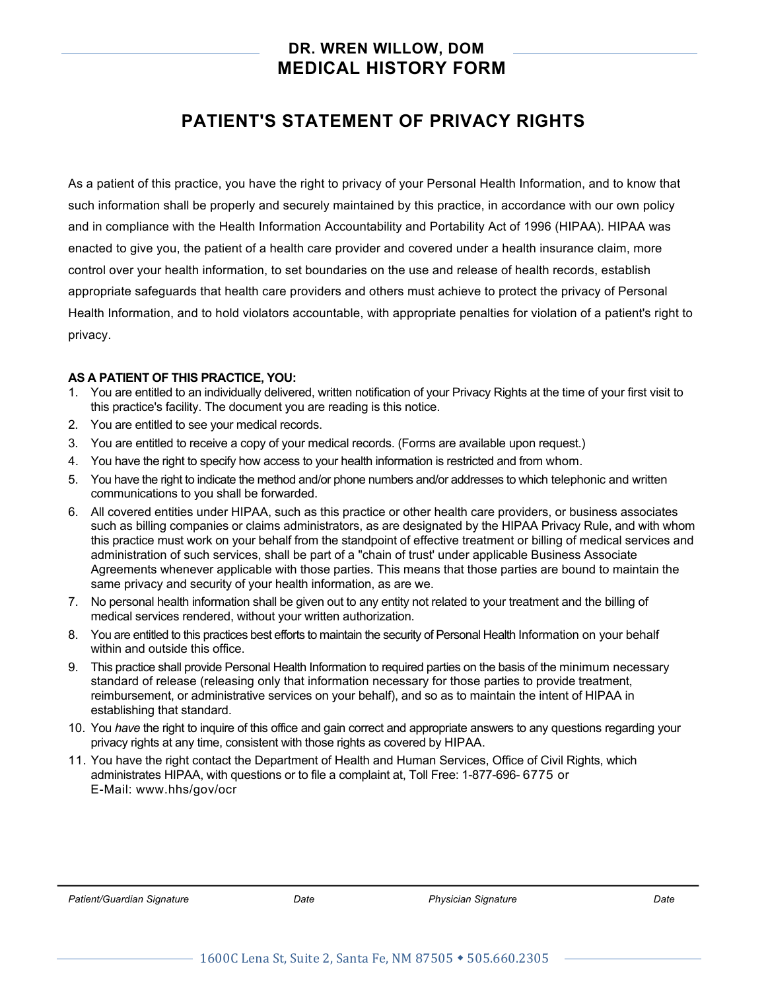# **PATIENT'S STATEMENT OF PRIVACY RIGHTS**

As a patient of this practice, you have the right to privacy of your Personal Health Information, and to know that such information shall be properly and securely maintained by this practice, in accordance with our own policy and in compliance with the Health Information Accountability and Portability Act of 1996 (HIPAA). HIPAA was enacted to give you, the patient of a health care provider and covered under a health insurance claim, more control over your health information, to set boundaries on the use and release of health records, establish appropriate safeguards that health care providers and others must achieve to protect the privacy of Personal Health Information, and to hold violators accountable, with appropriate penalties for violation of a patient's right to privacy.

#### **AS A PATIENT OF THIS PRACTICE, YOU:**

- 1. You are entitled to an individually delivered, written notification of your Privacy Rights at the time of your first visit to this practice's facility. The document you are reading is this notice.
- 2. You are entitled to see your medical records.
- 3. You are entitled to receive a copy of your medical records. (Forms are available upon request.)
- 4. You have the right to specify how access to your health information is restricted and from whom.
- 5. You have the right to indicate the method and/or phone numbers and/or addresses to which telephonic and written communications to you shall be forwarded.
- 6. All covered entities under HIPAA, such as this practice or other health care providers, or business associates such as billing companies or claims administrators, as are designated by the HIPAA Privacy Rule, and with whom this practice must work on your behalf from the standpoint of effective treatment or billing of medical services and administration of such services, shall be part of a "chain of trust' under applicable Business Associate Agreements whenever applicable with those parties. This means that those parties are bound to maintain the same privacy and security of your health information, as are we.
- 7. No personal health information shall be given out to any entity not related to your treatment and the billing of medical services rendered, without your written authorization.
- 8. You are entitled to this practices best efforts to maintain the security of Personal Health Information on your behalf within and outside this office.
- 9. This practice shall provide Personal Health Information to required parties on the basis of the minimum necessary standard of release (releasing only that information necessary for those parties to provide treatment, reimbursement, or administrative services on your behalf), and so as to maintain the intent of HIPAA in establishing that standard.
- 10. You *have* the right to inquire of this office and gain correct and appropriate answers to any questions regarding your privacy rights at any time, consistent with those rights as covered by HIPAA.
- 11. You have the right contact the Department of Health and Human Services, Office of Civil Rights, which administrates HIPAA, with questions or to file a complaint at, Toll Free: 1-877-696- 6775 or E-Mail: www.hhs/gov/ocr